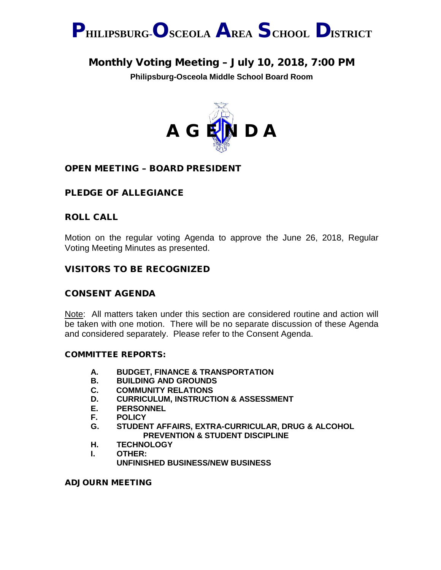

## Monthly Voting Meeting – July 10, 2018, 7:00 PM

**Philipsburg-Osceola Middle School Board Room**



## OPEN MEETING – BOARD PRESIDENT

## PLEDGE OF ALLEGIANCE

## ROLL CALL

Motion on the regular voting Agenda to approve the June 26, 2018, Regular Voting Meeting Minutes as presented.

## VISITORS TO BE RECOGNIZED

### CONSENT AGENDA

Note: All matters taken under this section are considered routine and action will be taken with one motion. There will be no separate discussion of these Agenda and considered separately. Please refer to the Consent Agenda.

#### COMMITTEE REPORTS:

- **A. BUDGET, FINANCE & TRANSPORTATION**
- **B. BUILDING AND GROUNDS**
- **C. COMMUNITY RELATIONS**
- **D. CURRICULUM, INSTRUCTION & ASSESSMENT**
- **E. PERSONNEL**
- **F. POLICY**
- **G. STUDENT AFFAIRS, EXTRA-CURRICULAR, DRUG & ALCOHOL PREVENTION & STUDENT DISCIPLINE**
- **H. TECHNOLOGY**
- **I. OTHER: UNFINISHED BUSINESS/NEW BUSINESS**

#### ADJOURN MEETING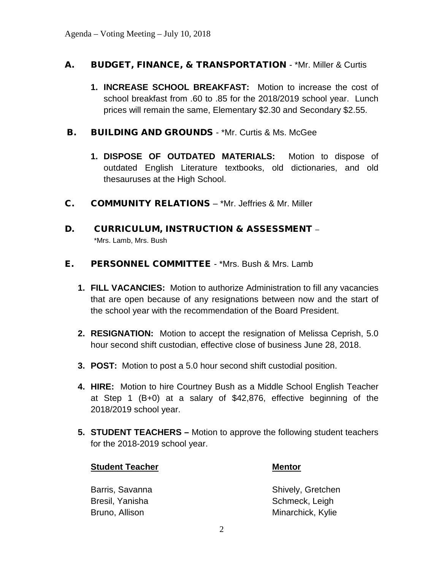## A. BUDGET, FINANCE, & TRANSPORTATION - \*Mr. Miller & Curtis

- **1. INCREASE SCHOOL BREAKFAST:** Motion to increase the cost of school breakfast from .60 to .85 for the 2018/2019 school year. Lunch prices will remain the same, Elementary \$2.30 and Secondary \$2.55.
- **B.** BUILDING AND GROUNDS \*Mr. Curtis & Ms. McGee
	- **1. DISPOSE OF OUTDATED MATERIALS:** Motion to dispose of outdated English Literature textbooks, old dictionaries, and old thesauruses at the High School.
- C. COMMUNITY RELATIONS \*Mr. Jeffries & Mr. Miller
- D. CURRICULUM, INSTRUCTION & ASSESSMENT \*Mrs. Lamb, Mrs. Bush
- E. PERSONNEL COMMITTEE \*Mrs. Bush & Mrs. Lamb
	- **1. FILL VACANCIES:** Motion to authorize Administration to fill any vacancies that are open because of any resignations between now and the start of the school year with the recommendation of the Board President.
	- **2. RESIGNATION:** Motion to accept the resignation of Melissa Ceprish, 5.0 hour second shift custodian, effective close of business June 28, 2018.
	- **3. POST:** Motion to post a 5.0 hour second shift custodial position.
	- **4. HIRE:** Motion to hire Courtney Bush as a Middle School English Teacher at Step 1 (B+0) at a salary of \$42,876, effective beginning of the 2018/2019 school year.
	- **5. STUDENT TEACHERS –** Motion to approve the following student teachers for the 2018-2019 school year.

#### **Student Teacher Mentor**

Bresil, Yanisha Schmeck, Leigh

Barris, Savanna Shively, Gretchen Bruno, Allison **Minarchick**, Kylie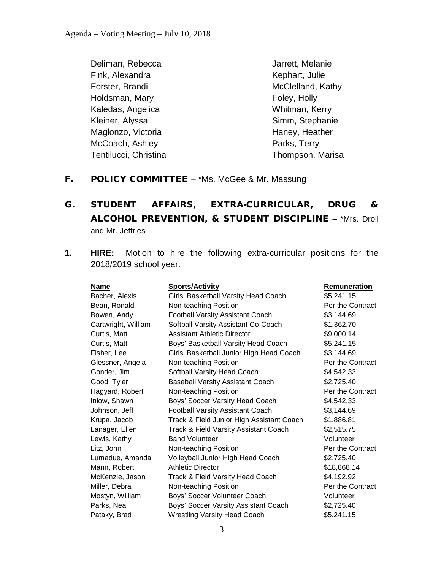Deliman, Rebecca Jarrett, Melanie Fink, Alexandra Kephart, Julie Forster, Brandi **McClelland**, Kathy Holdsman, Mary **Foley**, Holly Kaledas, Angelica Whitman, Kerry Kleiner, Alyssa Simm, Stephanie Maglonzo, Victoria **Haney, Heather** Haney, Heather McCoach, Ashley **Parks**, Terry Tentilucci, Christina Thompson, Marisa

- F. POLICY COMMITTEE \*Ms. McGee & Mr. Massung
- G. STUDENT AFFAIRS, EXTRA-CURRICULAR, DRUG & ALCOHOL PREVENTION, & STUDENT DISCIPLINE – \*Mrs. Droll and Mr. Jeffries
- **1. HIRE:** Motion to hire the following extra-curricular positions for the 2018/2019 school year.

| Name                | <b>Sports/Activity</b>                    | Remuneration     |
|---------------------|-------------------------------------------|------------------|
| Bacher, Alexis      | Girls' Basketball Varsity Head Coach      | \$5,241.15       |
| Bean, Ronald        | Non-teaching Position                     | Per the Contract |
| Bowen, Andy         | <b>Football Varsity Assistant Coach</b>   | \$3,144.69       |
| Cartwright, William | Softball Varsity Assistant Co-Coach       | \$1,362.70       |
| Curtis, Matt        | <b>Assistant Athletic Director</b>        | \$9,000.14       |
| Curtis, Matt        | Boys' Basketball Varsity Head Coach       | \$5,241.15       |
| Fisher, Lee         | Girls' Basketball Junior High Head Coach  | \$3,144.69       |
| Glessner, Angela    | Non-teaching Position                     | Per the Contract |
| Gonder, Jim         | Softball Varsity Head Coach               | \$4,542.33       |
| Good, Tyler         | <b>Baseball Varsity Assistant Coach</b>   | \$2,725.40       |
| Hagyard, Robert     | Non-teaching Position                     | Per the Contract |
| Inlow, Shawn        | Boys' Soccer Varsity Head Coach           | \$4,542.33       |
| Johnson, Jeff       | <b>Football Varsity Assistant Coach</b>   | \$3,144.69       |
| Krupa, Jacob        | Track & Field Junior High Assistant Coach | \$1,886.81       |
| Lanager, Ellen      | Track & Field Varsity Assistant Coach     | \$2,515.75       |
| Lewis, Kathy        | <b>Band Volunteer</b>                     | Volunteer        |
| Litz, John          | Non-teaching Position                     | Per the Contract |
| Lumadue, Amanda     | Volleyball Junior High Head Coach         | \$2,725.40       |
| Mann, Robert        | <b>Athletic Director</b>                  | \$18,868.14      |
| McKenzie, Jason     | Track & Field Varsity Head Coach          | \$4,192.92       |
| Miller, Debra       | Non-teaching Position                     | Per the Contract |
| Mostyn, William     | Boys' Soccer Volunteer Coach              | Volunteer        |
| Parks, Neal         | Boys' Soccer Varsity Assistant Coach      | \$2,725.40       |
| Pataky, Brad        | <b>Wrestling Varsity Head Coach</b>       | \$5,241.15       |